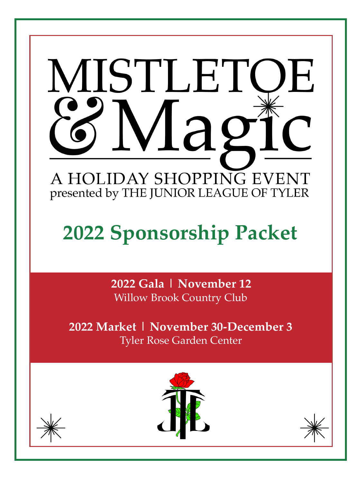

# **2022 Sponsorship Packet**

**2022 Gala | November 12** Willow Brook Country Club

**2022 Market | November 30-December 3** Tyler Rose Garden Center





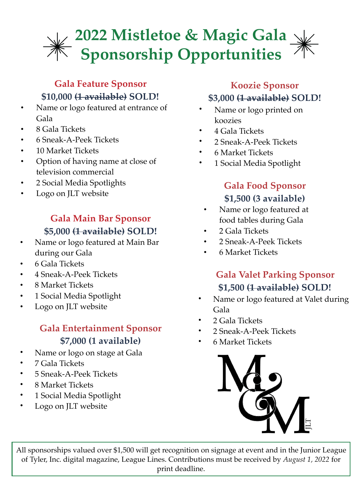### **2022 Mistletoe & Magic Gala Sponsorship Opportunities**

#### **Gala Feature Sponsor \$10,000 (1 available) SOLD!**

- Name or logo featured at entrance of Gala
- 8 Gala Tickets
- 6 Sneak-A-Peek Tickets
- 10 Market Tickets
- Option of having name at close of television commercial
- 2 Social Media Spotlights
- Logo on JLT website

#### **Gala Main Bar Sponsor \$5,000 (1 available) SOLD!**

- Name or logo featured at Main Bar during our Gala
- 6 Gala Tickets
- 4 Sneak-A-Peek Tickets
- 8 Market Tickets
- 1 Social Media Spotlight
- Logo on JLT website

#### **Gala Entertainment Sponsor \$7,000 (1 available)**

- Name or logo on stage at Gala
- 7 Gala Tickets
- 5 Sneak-A-Peek Tickets
- 8 Market Tickets
- 1 Social Media Spotlight
- Logo on JLT website

### **Koozie Sponsor \$3,000 (1 available) SOLD!**

- Name or logo printed on koozies
- 4 Gala Tickets
- 2 Sneak-A-Peek Tickets
- 6 Market Tickets
- 1 Social Media Spotlight

#### **Gala Food Sponsor \$1,500 (3 available)**

- Name or logo featured at food tables during Gala
- 2 Gala Tickets
- 2 Sneak-A-Peek Tickets
- 6 Market Tickets

#### **Gala Valet Parking Sponsor \$1,500 (1 available) SOLD!**

- Name or logo featured at Valet during Gala
- 2 Gala Tickets
- 2 Sneak-A-Peek Tickets
- 6 Market Tickets



All sponsorships valued over \$1,500 will get recognition on signage at event and in the Junior League of Tyler, Inc. digital magazine, League Lines. Contributions must be received by *August 1, 2022* for print deadline.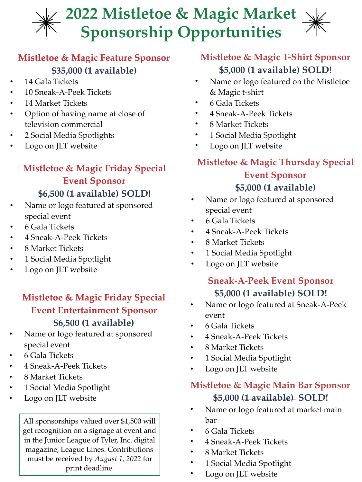## **2022 Mistletoe & Magic Market Sponsorship Opportunities**

#### **Mistletoe & Magic Feature Sponsor \$35,000 (1 available)**

- 14 Gala Tickets
- 10 Sneak-A-Peek Tickets
- 14 Market Tickets
- Option of having name at close of television commercial
- 2 Social Media Spotlights
- Logo on JLT website

#### **Mistletoe & Magic Friday Special Event Sponsor \$6,500 (1 available) SOLD!**

- Name or logo featured at sponsored special event
- 6 Gala Tickets
- 4 Sneak-A-Peek Tickets
- 8 Market Tickets
- 1 Social Media Spotlight
- Logo on JLT website

#### **Mistletoe & Magic Friday Special Event Entertainment Sponsor \$6,500 (1 available)**

- Name or logo featured at sponsored special event
- 6 Gala Tickets
- 4 Sneak-A-Peek Tickets
- 8 Market Tickets
- 1 Social Media Spotlight
- Logo on JLT website

All sponsorships valued over \$1,500 will get recognition on a signage at event and in the Junior League of Tyler, Inc. digital magazine, League Lines. Contributions must be received by *August 1, 2022* for print deadline.

#### **Mistletoe & Magic T-Shirt Sponsor \$5,000 (1 available) SOLD!**

- Name or logo featured on the Mistletoe & Magic t-shirt
- 6 Gala Tickets
- 4 Sneak-A-Peek Tickets
- 8 Market Tickets
- 1 Social Media Spotlight
- Logo on JLT website

#### **Mistletoe & Magic Thursday Special Event Sponsor \$5,000 (1 available)**

- Name or logo featured at sponsored special event
- 6 Gala Tickets
- 4 Sneak-A-Peek Tickets
- 8 Market Tickets
- 1 Social Media Spotlight
- Logo on JLT website

#### **Sneak-A-Peek Event Sponsor \$5,000 (1 available) SOLD!**

- Name or logo featured at Sneak-A-Peek event
- 6 Gala Tickets
- 4 Sneak-A-Peek Tickets
- 8 Market Tickets
- 1 Social Media Spotlight
- Logo on JLT website

#### **Mistletoe & Magic Main Bar Sponsor \$5,000 (1 available) SOLD!**

- Name or logo featured at market main bar
- 6 Gala Tickets
- 4 Sneak-A-Peek Tickets
- 8 Market Tickets
- 1 Social Media Spotlight
- Logo on JLT website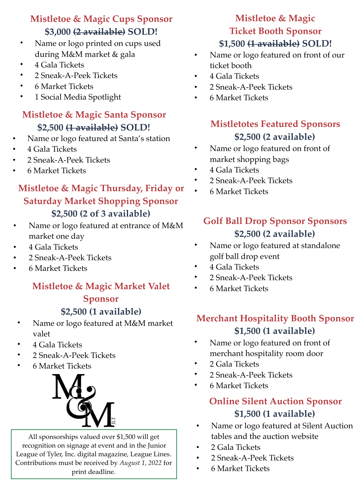#### **Mistletoe & Magic Cups Sponsor \$3,000 (2 available) SOLD!**

- Name or logo printed on cups used during M&M market & gala
- 4 Gala Tickets
- 2 Sneak-A-Peek Tickets
- 6 Market Tickets
- 1 Social Media Spotlight

#### **Mistletoe & Magic Santa Sponsor \$2,500 (1 available) SOLD!**

- Name or logo featured at Santa's station
- 4 Gala Tickets
- 2 Sneak-A-Peek Tickets
- 6 Market Tickets

#### **Mistletoe & Magic Thursday, Friday or •** 6 Market Tickets **Saturday Market Shopping Sponsor \$2,500 (2 of 3 available)**

- Name or logo featured at entrance of M&M market one day
- 4 Gala Tickets
- 2 Sneak-A-Peek Tickets
- 6 Market Tickets

#### **Mistletoe & Magic Market Valet Sponsor**

#### **\$2,500 (1 available)**

- Name or logo featured at M&M market valet
- 4 Gala Tickets
- 2 Sneak-A-Peek Tickets
- 6 Market Tickets



All sponsorships valued over \$1,500 will get recognition on signage at event and in the Junior League of Tyler, Inc. digital magazine, League Lines. Contributions must be received by *August 1, 2022* for print deadline.

#### **Mistletoe & Magic Ticket Booth Sponsor \$1,500 (1 available) SOLD!**

- Name or logo featured on front of our ticket booth
- 4 Gala Tickets
- 2 Sneak-A-Peek Tickets
- 6 Market Tickets

#### **Mistletotes Featured Sponsors \$2,500 (2 available)**

- Name or logo featured on front of market shopping bags
- 4 Gala Tickets
- 2 Sneak-A-Peek Tickets
- 

#### **Golf Ball Drop Sponsor Sponsors \$2,500 (2 available)**

- Name or logo featured at standalone golf ball drop event
- 4 Gala Tickets
- 2 Sneak-A-Peek Tickets
- 6 Market Tickets

#### **Merchant Hospitality Booth Sponsor \$1,500 (1 available)**

- Name or logo featured on front of merchant hospitality room door
- 2 Gala Tickets
- 2 Sneak-A-Peek Tickets
- 6 Market Tickets

#### **Online Silent Auction Sponsor \$1,500 (1 available)**

- Name or logo featured at Silent Auction tables and the auction website
- 2 Gala Tickets
- 2 Sneak-A-Peek Tickets
- 6 Market Tickets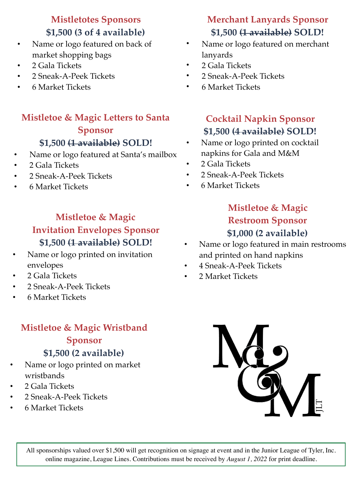#### **Mistletotes Sponsors \$1,500 (3 of 4 available)**

- Name or logo featured on back of market shopping bags
- 2 Gala Tickets
- 2 Sneak-A-Peek Tickets
- 6 Market Tickets

#### **Mistletoe & Magic Letters to Santa Sponsor \$1,500 (1 available) SOLD!**

#### • Name or logo featured at Santa's mailbox

- 2 Gala Tickets
- 2 Sneak-A-Peek Tickets
- 6 Market Tickets

#### **Mistletoe & Magic Invitation Envelopes Sponsor \$1,500 (1 available) SOLD!**

- Name or logo printed on invitation envelopes
- 2 Gala Tickets
- 2 Sneak-A-Peek Tickets
- 6 Market Tickets

#### **Mistletoe & Magic Wristband Sponsor \$1,500 (2 available)**

- Name or logo printed on market wristbands
- 2 Gala Tickets
- 2 Sneak-A-Peek Tickets
- 6 Market Tickets

#### **Merchant Lanyards Sponsor \$1,500 (1 available) SOLD!**

- Name or logo featured on merchant lanyards
- 2 Gala Tickets
- 2 Sneak-A-Peek Tickets
- 6 Market Tickets

#### **Cocktail Napkin Sponsor \$1,500 (4 available) SOLD!**

- Name or logo printed on cocktail napkins for Gala and M&M
- 2 Gala Tickets
- 2 Sneak-A-Peek Tickets
- 6 Market Tickets

#### **Mistletoe & Magic Restroom Sponsor \$1,000 (2 available)**

- Name or logo featured in main restrooms and printed on hand napkins
- 4 Sneak-A-Peek Tickets
- 2 Market Tickets



All sponsorships valued over \$1,500 will get recognition on signage at event and in the Junior League of Tyler, Inc. online magazine, League Lines. Contributions must be received by *August 1, 2022* for print deadline.